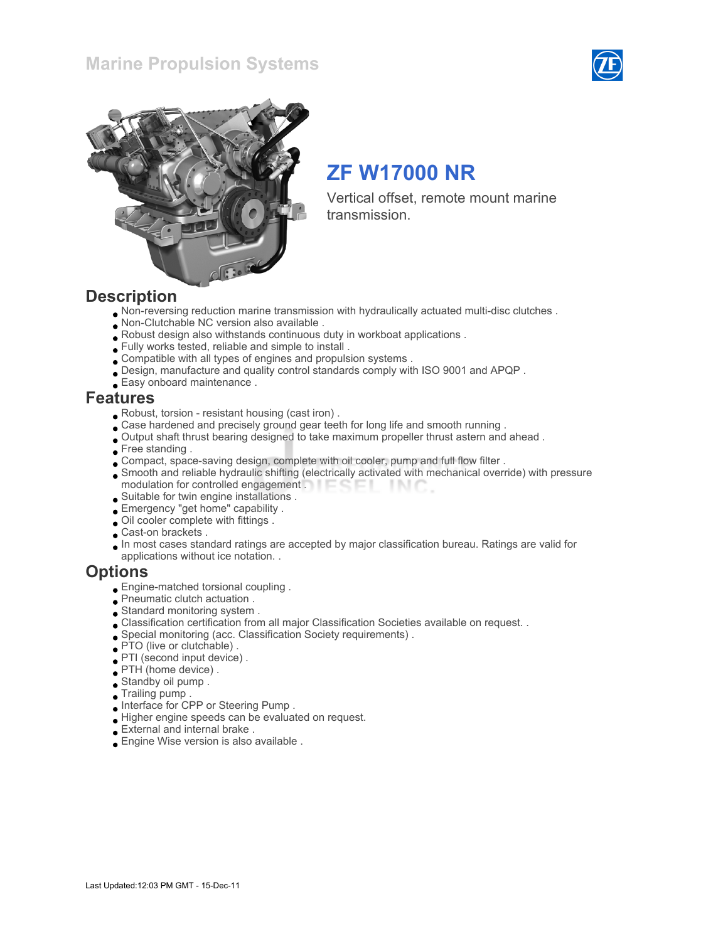



# ZF W17000 NR

Vertical offset, remote mount marine transmission.

### **Description**

- Non-reversing reduction marine transmission with hydraulically actuated multi-disc clutches .
- Non-Clutchable NC version also available .
- Robust design also withstands continuous duty in workboat applications .
- Fully works tested, reliable and simple to install .
- Compatible with all types of engines and propulsion systems .
- Design, manufacture and quality control standards comply with ISO 9001 and APQP .
- Easy onboard maintenance .

### Features

- Robust, torsion resistant housing (cast iron) .
- Case hardened and precisely ground gear teeth for long life and smooth running .
- Output shaft thrust bearing designed to take maximum propeller thrust astern and ahead .
- Free standing.
- Compact, space-saving design, complete with oil cooler, pump and full flow filter .
- Smooth and reliable hydraulic shifting (electrically activated with mechanical override) with pressure modulation for controlled engagement . **Example 20** -INC
- Suitable for twin engine installations .
- Emergency "get home" capability .
- Oil cooler complete with fittings .
- Cast-on brackets .
- In most cases standard ratings are accepted by major classification bureau. Ratings are valid for applications without ice notation. .

### **Options**

- Engine-matched torsional coupling .
- Pneumatic clutch actuation .
- Standard monitoring system .
- Classification certification from all major Classification Societies available on request. .
- Special monitoring (acc. Classification Society requirements) .
- PTO (live or clutchable) .
- PTI (second input device) .
- PTH (home device) .
- Standby oil pump .
- Trailing pump .
- Interface for CPP or Steering Pump .
- Higher engine speeds can be evaluated on request.
- External and internal brake .
- Engine Wise version is also available .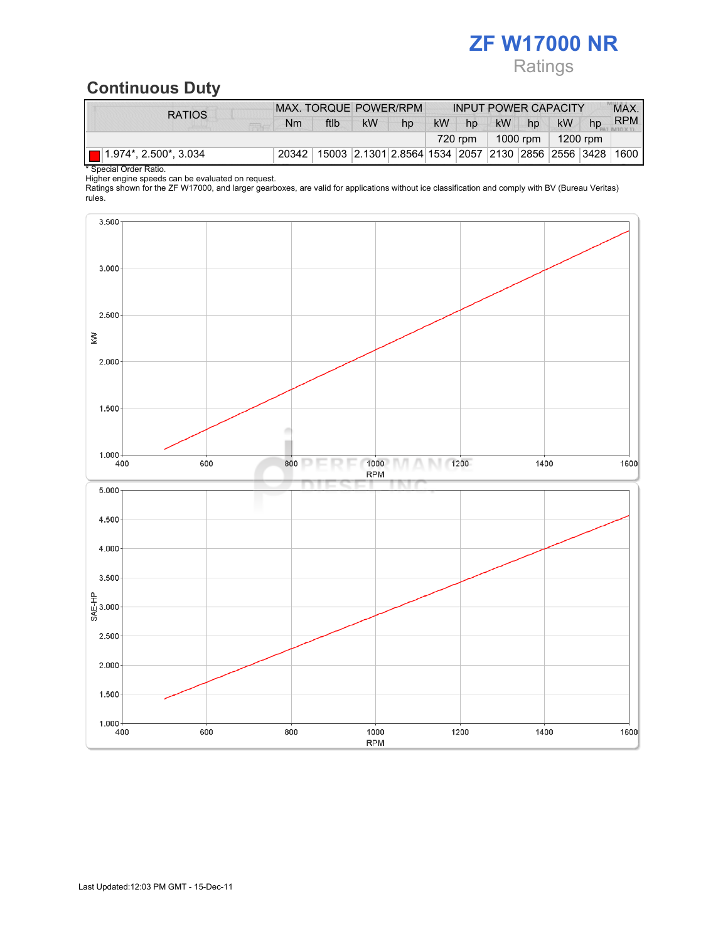## ZF W17000 NR Ratings

## Continuous Duty

| <b>RATIOS</b>                        | MAX. TORQUE POWER/RPM |      |                                                        |    | <b>INPUT POWER CAPACITY</b> |    |           |          |           | MAX. |            |
|--------------------------------------|-----------------------|------|--------------------------------------------------------|----|-----------------------------|----|-----------|----------|-----------|------|------------|
|                                      | Nm                    | ftlb | kW                                                     | hp | kW                          | hp | <b>kW</b> | hp       | <b>kW</b> | hp   | <b>RPM</b> |
|                                      |                       |      |                                                        |    |                             |    |           | 1000 rpm | 1200 rpm  |      |            |
| $\blacksquare$ 1.974*, 2.500*, 3.034 | 20342                 |      | 15003 2.1301 2.8564 1534 2057 2130 2856 2556 3428 1600 |    |                             |    |           |          |           |      |            |

\* Special Order Ratio.

Higher engine speeds can be evaluated on request.

Ratings shown for the ZF W17000, and larger gearboxes, are valid for applications without ice classification and comply with BV (Bureau Veritas) rules.

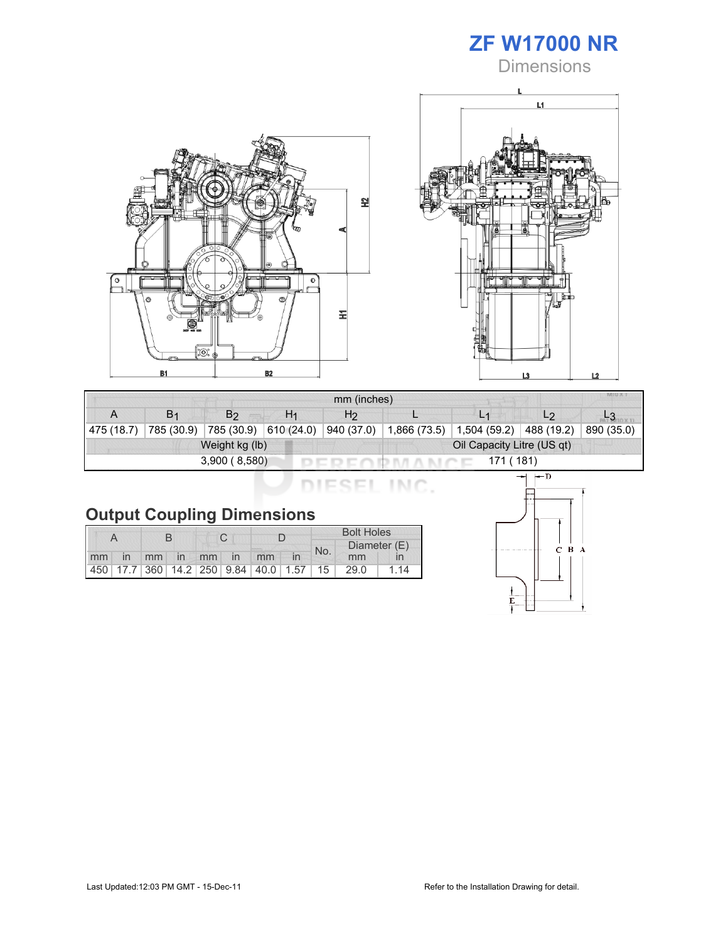





|                                              | MIU X<br>mm (inches) |            |                |                |              |                |                |            |  |  |  |
|----------------------------------------------|----------------------|------------|----------------|----------------|--------------|----------------|----------------|------------|--|--|--|
|                                              | B <sub>1</sub>       | B2         | H <sub>1</sub> | H <sub>2</sub> |              | L <sub>1</sub> | L <sub>2</sub> |            |  |  |  |
| 475(18.7)                                    | 785 (30.9)           | 785 (30.9) | 610(24.0)      | 940 (37.0)     | 1,866 (73.5) | 1,504 (59.2)   | 488 (19.2)     | 890 (35.0) |  |  |  |
| Oil Capacity Litre (US qt)<br>Weight kg (lb) |                      |            |                |                |              |                |                |            |  |  |  |
| 3,900(8,580)<br>171 (181)                    |                      |            |                |                |              |                |                |            |  |  |  |

| <b>Dutput Coupling Dimensions</b> |  |  |  |  |
|-----------------------------------|--|--|--|--|

|    |    |  |             |  |  |                                                         | <b>Bolt Holes</b> |     |              |  |  |
|----|----|--|-------------|--|--|---------------------------------------------------------|-------------------|-----|--------------|--|--|
|    |    |  |             |  |  |                                                         |                   | No. | Diameter (E) |  |  |
| mm | in |  | mm in mm in |  |  | mm                                                      |                   |     | mm           |  |  |
|    |    |  |             |  |  | 450   17.7   360   14.2   250   9.84   40.0   1.57   15 |                   |     | 29.0         |  |  |

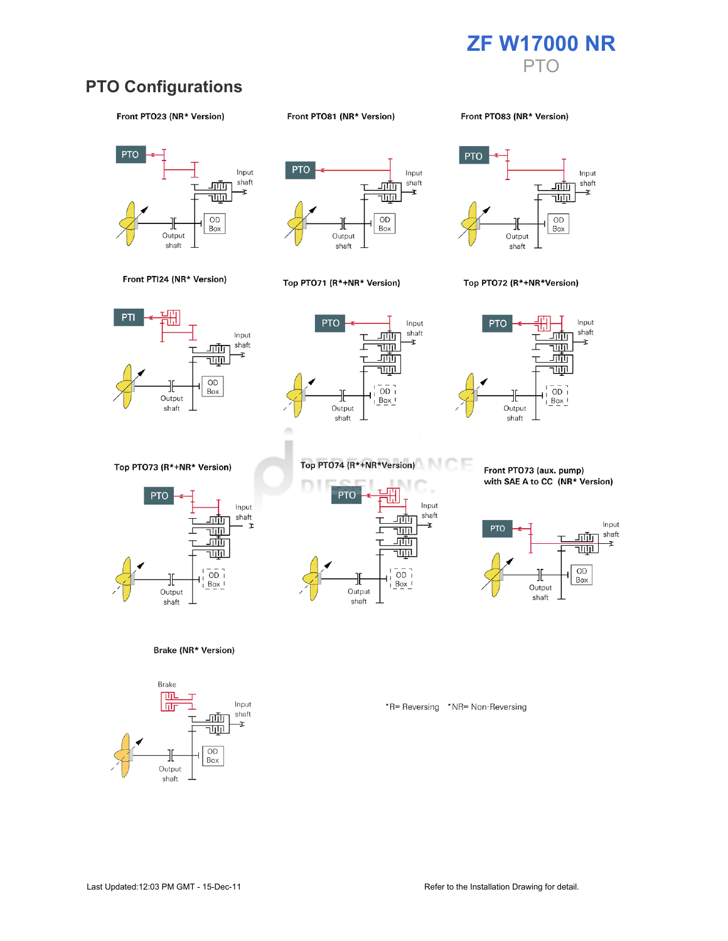

### **PTO Configurations**

#### Front PTO23 (NR\* Version)

#### Front PTO81 (NR\* Version)

Front PT083 (NR\* Version)







#### Top PTO71 (R\*+NR\* Version)



#### Top PTO72 (R\*+NR\*Version)







Top PTO73 (R\*+NR\* Version)



Brake (NR\* Version)





Front PTO73 (aux. pump) with SAE A to CC (NR\* Version)



\*R= Reversing \*NR= Non-Reversing

Front PTI24 (NR\* Version)